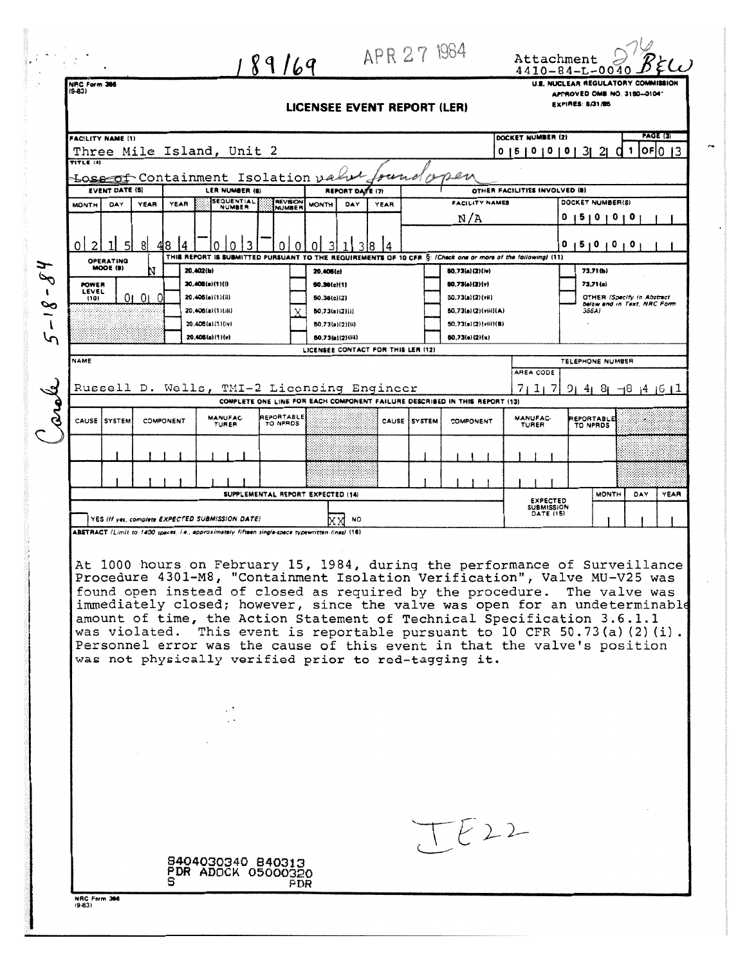| <b>FACILITY NAME (1)</b>     |                                                                             |                                                 | 89169<br>NPC Form 366 |                                                                                                  |                                  |                                                                                                                                                                                                                                                                                                                                                                                                                                                                                                                                                                                                  |      |              |                                    |                                | $4410 - 84 - L - 0040$<br>U.S. NUCLEAR REGULATORY COMMISSION<br>APPROVED OMB NO. 3150-0104- |                                    |  |
|------------------------------|-----------------------------------------------------------------------------|-------------------------------------------------|-----------------------|--------------------------------------------------------------------------------------------------|----------------------------------|--------------------------------------------------------------------------------------------------------------------------------------------------------------------------------------------------------------------------------------------------------------------------------------------------------------------------------------------------------------------------------------------------------------------------------------------------------------------------------------------------------------------------------------------------------------------------------------------------|------|--------------|------------------------------------|--------------------------------|---------------------------------------------------------------------------------------------|------------------------------------|--|
|                              |                                                                             | EXPIRES: 8/31/85<br>LICENSEE EVENT REPORT (LER) |                       |                                                                                                  |                                  |                                                                                                                                                                                                                                                                                                                                                                                                                                                                                                                                                                                                  |      |              |                                    |                                |                                                                                             |                                    |  |
|                              | <b>PAGE (3)</b>                                                             |                                                 |                       |                                                                                                  |                                  |                                                                                                                                                                                                                                                                                                                                                                                                                                                                                                                                                                                                  |      |              |                                    |                                |                                                                                             |                                    |  |
|                              |                                                                             |                                                 |                       |                                                                                                  |                                  |                                                                                                                                                                                                                                                                                                                                                                                                                                                                                                                                                                                                  |      |              |                                    | DOCKET NUMBER (2)              |                                                                                             | oF 0 13                            |  |
|                              | Three Mile Island, Unit 2<br>0   5   0   0   0   3   2   0   1<br>TITLE (4) |                                                 |                       |                                                                                                  |                                  |                                                                                                                                                                                                                                                                                                                                                                                                                                                                                                                                                                                                  |      |              |                                    |                                |                                                                                             |                                    |  |
|                              | Loss of Containment Isolation value                                         |                                                 |                       |                                                                                                  |                                  |                                                                                                                                                                                                                                                                                                                                                                                                                                                                                                                                                                                                  |      |              |                                    |                                |                                                                                             |                                    |  |
|                              | <b>EVENT DATE (S)</b><br>LER NUMBER (6)                                     |                                                 |                       |                                                                                                  |                                  | REPORT DATE (7)                                                                                                                                                                                                                                                                                                                                                                                                                                                                                                                                                                                  |      |              |                                    | OTHER FACILITIES INVOLVED (8)  |                                                                                             |                                    |  |
| <b>MONTH</b>                 | DAY                                                                         | <b>YEAR</b>                                     | <b>YEAR</b>           | <b>SEQUENTIAL</b><br><b>NUMBER</b>                                                               | <b>REVISION</b><br><b>NUMBER</b> | <b>MONTH</b><br>DAY                                                                                                                                                                                                                                                                                                                                                                                                                                                                                                                                                                              | YEAR |              | FACILITY NAMES                     |                                | DOCKET NUMBER(S)                                                                            |                                    |  |
|                              |                                                                             |                                                 |                       |                                                                                                  |                                  |                                                                                                                                                                                                                                                                                                                                                                                                                                                                                                                                                                                                  |      |              | N/A                                |                                | 15101010                                                                                    |                                    |  |
| 2<br>0                       |                                                                             | 81<br>8                                         |                       |                                                                                                  | ი                                | 18<br>0                                                                                                                                                                                                                                                                                                                                                                                                                                                                                                                                                                                          |      |              |                                    |                                | o<br>12101010                                                                               |                                    |  |
|                              | OPERATING                                                                   |                                                 |                       |                                                                                                  |                                  | THIS REPORT IS SUBMITTED PURSUANT TO THE REQUIREMENTS OF 10 CFR §: (Check one or more of the following) (11)                                                                                                                                                                                                                                                                                                                                                                                                                                                                                     |      |              |                                    |                                |                                                                                             |                                    |  |
|                              | MODE (9)                                                                    |                                                 | 20.402(b)             |                                                                                                  |                                  | 20.406(c)                                                                                                                                                                                                                                                                                                                                                                                                                                                                                                                                                                                        |      |              | 80.73(a)(2)(iv)                    |                                | 73.71 (b)                                                                                   |                                    |  |
| <b>POWER</b><br><b>LEVEL</b> |                                                                             | 01010                                           |                       | 20.406(a)(1)(l)<br>20.405(a)(1)(i)                                                               |                                  | 50.36(c)(1)<br>50.36(c)(2)                                                                                                                                                                                                                                                                                                                                                                                                                                                                                                                                                                       |      |              | 50.73(a)(2)(v)<br>50.73(a)(2)(vii) |                                | 73.71 (c)                                                                                   | OTHER (Specify in Abstract         |  |
| (10)                         |                                                                             |                                                 |                       | 20.406(a)(1)(iii)                                                                                |                                  | 50.73(a)(2)(i)                                                                                                                                                                                                                                                                                                                                                                                                                                                                                                                                                                                   |      |              | $50,73(a)(2)($ viii $)(A)$         |                                | 356A)                                                                                       | below and in Text, NRC Form        |  |
|                              |                                                                             |                                                 |                       | 20.406(a)(1)(lv)                                                                                 |                                  | 50.73(a)(2)(ii)                                                                                                                                                                                                                                                                                                                                                                                                                                                                                                                                                                                  |      |              | 50.73(a)(2)(viii)(B)               |                                |                                                                                             |                                    |  |
|                              |                                                                             |                                                 |                       | 20.408(a)(1)(y)                                                                                  |                                  | <b>80.73(a)(2)(iii)</b>                                                                                                                                                                                                                                                                                                                                                                                                                                                                                                                                                                          |      |              | 60.73(e)(2)(x)                     |                                |                                                                                             |                                    |  |
| NAME                         |                                                                             |                                                 |                       |                                                                                                  |                                  | LICENSEE CONTACT FOR THIS LER (12)                                                                                                                                                                                                                                                                                                                                                                                                                                                                                                                                                               |      |              |                                    |                                | TELEPHONE NUMBER                                                                            |                                    |  |
|                              |                                                                             |                                                 |                       |                                                                                                  |                                  |                                                                                                                                                                                                                                                                                                                                                                                                                                                                                                                                                                                                  |      |              |                                    | AREA CODE                      |                                                                                             |                                    |  |
|                              |                                                                             |                                                 |                       |                                                                                                  |                                  | Russell D. Wells, TMI-2 Licensing Engineer                                                                                                                                                                                                                                                                                                                                                                                                                                                                                                                                                       |      |              |                                    | 7117                           | 91 41                                                                                       | $81 - 18$ 14 16 17                 |  |
|                              |                                                                             |                                                 |                       |                                                                                                  |                                  | COMPLETE ONE LINE FOR EACH COMPONENT FAILURE DESCRIBED IN THIS REPORT (13)                                                                                                                                                                                                                                                                                                                                                                                                                                                                                                                       |      |              |                                    |                                |                                                                                             |                                    |  |
|                              | CAUSE SYSTEM                                                                | COMPONENT                                       |                       | MANUFAC-<br>TURER                                                                                | REPORTABLE<br>TO NPROS           |                                                                                                                                                                                                                                                                                                                                                                                                                                                                                                                                                                                                  |      | CAUSE SYSTEM | <b>COMPONENT</b>                   | MANUFAC-<br>TURER              | <b>EPORTABLE</b><br>TO NPRDS                                                                |                                    |  |
|                              |                                                                             |                                                 |                       |                                                                                                  |                                  |                                                                                                                                                                                                                                                                                                                                                                                                                                                                                                                                                                                                  |      |              |                                    |                                |                                                                                             |                                    |  |
|                              |                                                                             |                                                 |                       |                                                                                                  |                                  |                                                                                                                                                                                                                                                                                                                                                                                                                                                                                                                                                                                                  |      |              |                                    |                                |                                                                                             |                                    |  |
|                              |                                                                             |                                                 |                       |                                                                                                  |                                  | SUPPLEMENTAL REPORT EXPECTED (14)                                                                                                                                                                                                                                                                                                                                                                                                                                                                                                                                                                |      |              |                                    | <b>EXPECTED</b>                |                                                                                             | <b>MONTH</b><br>DAY<br><b>YEAR</b> |  |
|                              |                                                                             |                                                 |                       | YES (If yes, complete EXPECTED SUBMISSION DATE)                                                  |                                  | NO                                                                                                                                                                                                                                                                                                                                                                                                                                                                                                                                                                                               |      |              |                                    | <b>SUBMISSION</b><br>DATE (15) |                                                                                             |                                    |  |
|                              |                                                                             |                                                 |                       | ABSTRACT (Limit to 1400 spaces, i.e., approximately fifteen single-space typewritten lines) (16) |                                  |                                                                                                                                                                                                                                                                                                                                                                                                                                                                                                                                                                                                  |      |              |                                    |                                |                                                                                             |                                    |  |
|                              |                                                                             |                                                 |                       |                                                                                                  |                                  | At 1000 hours on February 15, 1984, during the performance of Surveillance<br>Procedure 4301-M8, "Containment Isolation Verification", Valve MU-V25 was<br>found open instead of closed as required by the procedure.<br>immediately closed; however, since the valve was open for an undeterminable<br>amount of time, the Action Statement of Technical Specification 3.6.1.1<br>was violated. This event is reportable pursuant to 10 CFR 50.73(a)(2)(i).<br>Personnel error was the cause of this event in that the valve's position<br>was not physically verified prior to red-tagging it. |      |              |                                    |                                |                                                                                             | The valve was                      |  |
|                              |                                                                             |                                                 |                       |                                                                                                  |                                  |                                                                                                                                                                                                                                                                                                                                                                                                                                                                                                                                                                                                  |      |              |                                    |                                |                                                                                             |                                    |  |
|                              |                                                                             |                                                 |                       |                                                                                                  |                                  |                                                                                                                                                                                                                                                                                                                                                                                                                                                                                                                                                                                                  |      |              |                                    |                                |                                                                                             |                                    |  |
|                              |                                                                             |                                                 |                       | 8404030340 840313<br>PDR ADOCK 05000320                                                          |                                  |                                                                                                                                                                                                                                                                                                                                                                                                                                                                                                                                                                                                  |      |              | 1622                               |                                |                                                                                             |                                    |  |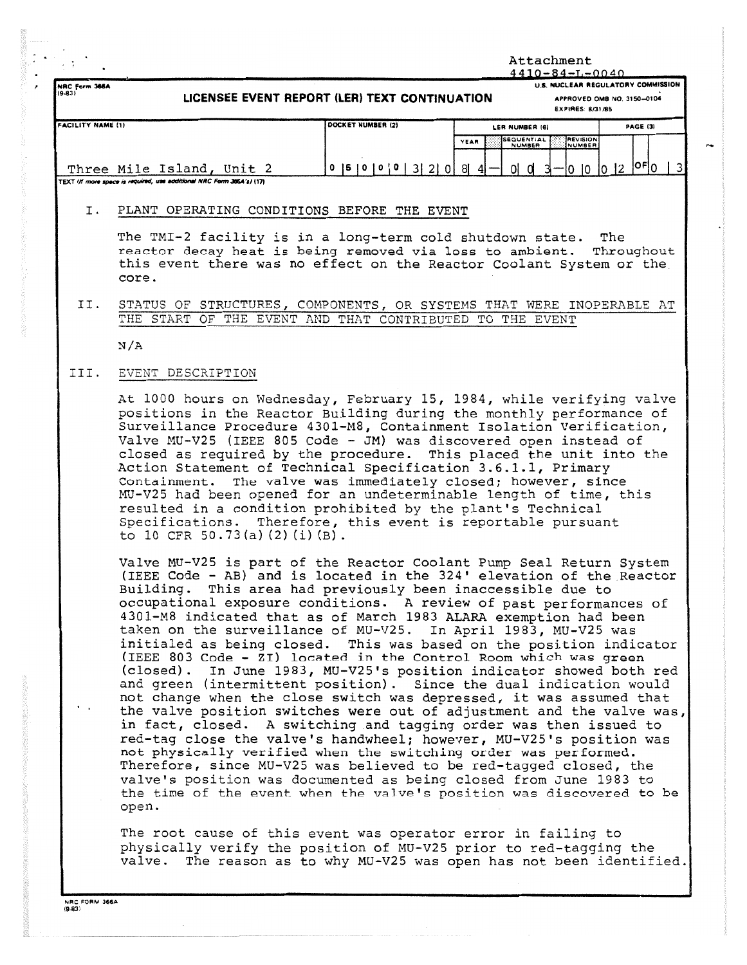|                           |                                                                                                                                                                                                                                                                                                        |                                                                                                    | Attachment<br>$4410 - 84 - L - 0040$                                                                                                                                                                                                                                                                                                                                                                                                                                                                                                                                                                                                                                                                                                                                                                                                                                                                                                                                                                                                                                                                                                                                                                                                                                                  |  |  |  |  |  |  |
|---------------------------|--------------------------------------------------------------------------------------------------------------------------------------------------------------------------------------------------------------------------------------------------------------------------------------------------------|----------------------------------------------------------------------------------------------------|---------------------------------------------------------------------------------------------------------------------------------------------------------------------------------------------------------------------------------------------------------------------------------------------------------------------------------------------------------------------------------------------------------------------------------------------------------------------------------------------------------------------------------------------------------------------------------------------------------------------------------------------------------------------------------------------------------------------------------------------------------------------------------------------------------------------------------------------------------------------------------------------------------------------------------------------------------------------------------------------------------------------------------------------------------------------------------------------------------------------------------------------------------------------------------------------------------------------------------------------------------------------------------------|--|--|--|--|--|--|
| NRC Form 366A<br>$(9-83)$ | LICENSEE EVENT REPORT (LER) TEXT CONTINUATION                                                                                                                                                                                                                                                          | <b>U.S. NUCLEAR REGULATORY COMMISSION</b><br>APPROVED OMB NO. 3150-0104<br><b>EXPIRES: 8/31/85</b> |                                                                                                                                                                                                                                                                                                                                                                                                                                                                                                                                                                                                                                                                                                                                                                                                                                                                                                                                                                                                                                                                                                                                                                                                                                                                                       |  |  |  |  |  |  |
| <b>FACILITY NAME (1)</b>  |                                                                                                                                                                                                                                                                                                        | DOCKET NUMBER (2)                                                                                  | PAGE (3)<br>LER NUMBER (6)                                                                                                                                                                                                                                                                                                                                                                                                                                                                                                                                                                                                                                                                                                                                                                                                                                                                                                                                                                                                                                                                                                                                                                                                                                                            |  |  |  |  |  |  |
|                           |                                                                                                                                                                                                                                                                                                        |                                                                                                    | <b>SEQUENTIAL</b><br><b>REVISION</b><br>YEAR<br>NUMBER<br>NUMBER                                                                                                                                                                                                                                                                                                                                                                                                                                                                                                                                                                                                                                                                                                                                                                                                                                                                                                                                                                                                                                                                                                                                                                                                                      |  |  |  |  |  |  |
|                           | Three Mile Island, Unit 2<br>TEXT (If more space is required, use additional NRC Form 366A's) (17)                                                                                                                                                                                                     | $0$  5   0   0   0   3   2   0   8   4                                                             | $0 0 3$ -0 10 10 2 $0 0 3$                                                                                                                                                                                                                                                                                                                                                                                                                                                                                                                                                                                                                                                                                                                                                                                                                                                                                                                                                                                                                                                                                                                                                                                                                                                            |  |  |  |  |  |  |
| Ι.                        | PLANT OPERATING CONDITIONS BEFORE THE EVENT                                                                                                                                                                                                                                                            |                                                                                                    |                                                                                                                                                                                                                                                                                                                                                                                                                                                                                                                                                                                                                                                                                                                                                                                                                                                                                                                                                                                                                                                                                                                                                                                                                                                                                       |  |  |  |  |  |  |
|                           | The TMI-2 facility is in a long-term cold shutdown state.<br>reactor decay heat is being removed via loss to ambient.<br>core.                                                                                                                                                                         |                                                                                                    | The<br>Throughout<br>this event there was no effect on the Reactor Coolant System or the                                                                                                                                                                                                                                                                                                                                                                                                                                                                                                                                                                                                                                                                                                                                                                                                                                                                                                                                                                                                                                                                                                                                                                                              |  |  |  |  |  |  |
| II.                       | THE START OF THE EVENT AND THAT CONTRIBUTED TO THE EVENT                                                                                                                                                                                                                                               |                                                                                                    | STATUS OF STRUCTURES, COMPONENTS, OR SYSTEMS THAT WERE INOPERABLE AT                                                                                                                                                                                                                                                                                                                                                                                                                                                                                                                                                                                                                                                                                                                                                                                                                                                                                                                                                                                                                                                                                                                                                                                                                  |  |  |  |  |  |  |
|                           | N/A                                                                                                                                                                                                                                                                                                    |                                                                                                    |                                                                                                                                                                                                                                                                                                                                                                                                                                                                                                                                                                                                                                                                                                                                                                                                                                                                                                                                                                                                                                                                                                                                                                                                                                                                                       |  |  |  |  |  |  |
| III.                      | EVENT DESCRIPTION                                                                                                                                                                                                                                                                                      |                                                                                                    |                                                                                                                                                                                                                                                                                                                                                                                                                                                                                                                                                                                                                                                                                                                                                                                                                                                                                                                                                                                                                                                                                                                                                                                                                                                                                       |  |  |  |  |  |  |
|                           | Action Statement of Technical Specification 3.6.1.1, Primary<br>Containment. The valve was immediately closed; however, since<br>resulted in a condition prohibited by the plant's Technical<br>Specifications. Therefore, this event is reportable pursuant<br>to 10 CFR 50.73(a) $(2)$ $(i)$ $(B)$ . |                                                                                                    | At 1000 hours on Wednesday, February 15, 1984, while verifying valve<br>positions in the Reactor Building during the monthly performance of<br>Surveillance Procedure 4301-M8, Containment Isolation Verification,<br>Valve MU-V25 (IEEE 805 Code - JM) was discovered open instead of<br>closed as required by the procedure. This placed the unit into the<br>MU-V25 had been opened for an undeterminable length of time, this                                                                                                                                                                                                                                                                                                                                                                                                                                                                                                                                                                                                                                                                                                                                                                                                                                                     |  |  |  |  |  |  |
|                           | Building.<br>open.                                                                                                                                                                                                                                                                                     |                                                                                                    | Valve MU-V25 is part of the Reactor Coolant Pump Seal Return System<br>(IEEE Code - AB) and is located in the 324' elevation of the Reactor<br>This area had previously been inaccessible due to<br>occupational exposure conditions. A review of past performances of<br>4301-M8 indicated that as of March 1983 ALARA exemption had been<br>taken on the surveillance of MU-V25. In April 1983, MU-V25 was<br>initialed as being closed. This was based on the position indicator<br>(IEEE 803 Code - ZI) located in the Control Room which was green<br>(closed). In June 1983, MU-V25's position indicator showed both red<br>and green (intermittent position). Since the dual indication would<br>not change when the close switch was depressed, it was assumed that<br>the valve position switches were out of adjustment and the valve was,<br>in fact, closed. A switching and tagging order was then issued to<br>red-tag close the valve's handwheel; however, MU-V25's position was<br>not physically verified when the switching order was performed.<br>Therefore, since MU-V25 was believed to be red-tagged closed, the<br>valve's position was documented as being closed from June 1983 to<br>the time of the event when the valve's position was discovered to be |  |  |  |  |  |  |
|                           | The root cause of this event was operator error in failing to<br>valve.                                                                                                                                                                                                                                |                                                                                                    | physically verify the position of MU-V25 prior to red-tagging the<br>The reason as to why MU-V25 was open has not been identified.                                                                                                                                                                                                                                                                                                                                                                                                                                                                                                                                                                                                                                                                                                                                                                                                                                                                                                                                                                                                                                                                                                                                                    |  |  |  |  |  |  |

 $\overline{\phantom{a}}$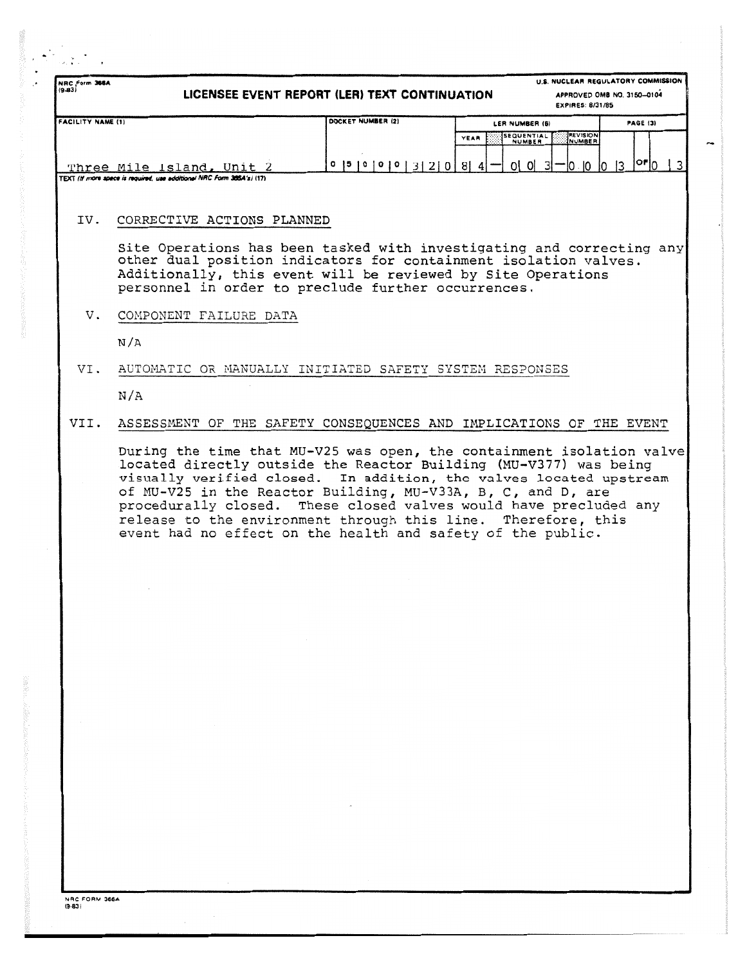| NRC Form 366A<br>$(9 - 83)$ | LICENSEE EVENT REPORT (LER) TEXT CONTINUATION                                                                                                                                                                                                                                                                                                                                                                                                                                         | <b>EXPIRES: 8/31/85</b>                                                     | U.S. NUCLEAR REGULATORY COMMISSION<br>APPROVED OMB NO. 3150-0104 |
|-----------------------------|---------------------------------------------------------------------------------------------------------------------------------------------------------------------------------------------------------------------------------------------------------------------------------------------------------------------------------------------------------------------------------------------------------------------------------------------------------------------------------------|-----------------------------------------------------------------------------|------------------------------------------------------------------|
| <b>FACILITY NAME (1)</b>    | DOCKET NUMBER (2)                                                                                                                                                                                                                                                                                                                                                                                                                                                                     | LER NUMBER (6)<br><b>SEQUENTIAL</b><br>REVISION<br>YEAR<br>NUMBER<br>NUMBER | PAGE (3)                                                         |
|                             | $0$  5   0   0   0   3   2   0   8   4  <br>Three Mile Island, Unit 2<br>TEXT (If more space is required, use additional NRC Form 366A's) (17)                                                                                                                                                                                                                                                                                                                                        | $0\vert$ $0\vert$ $3\vert$<br>IO - IO -<br>10                               | $ $ or $ _0$<br>13<br>3                                          |
| IV.                         | CORRECTIVE ACTIONS PLANNED                                                                                                                                                                                                                                                                                                                                                                                                                                                            |                                                                             |                                                                  |
|                             | Site Operations has been tasked with investigating and correcting any<br>other dual position indicators for containment isolation valves.<br>Additionally, this event will be reviewed by Site Operations<br>personnel in order to preclude further occurrences.                                                                                                                                                                                                                      |                                                                             |                                                                  |
| v.                          | COMPONENT FAILURE DATA                                                                                                                                                                                                                                                                                                                                                                                                                                                                |                                                                             |                                                                  |
|                             | N/A                                                                                                                                                                                                                                                                                                                                                                                                                                                                                   |                                                                             |                                                                  |
| VI.                         | AUTOMATIC OR MANUALLY INITIATED SAFETY SYSTEM RESPONSES                                                                                                                                                                                                                                                                                                                                                                                                                               |                                                                             |                                                                  |
|                             | N/A                                                                                                                                                                                                                                                                                                                                                                                                                                                                                   |                                                                             |                                                                  |
| VII.                        | ASSESSMENT OF THE SAFETY CONSEQUENCES AND IMPLICATIONS OF THE EVENT                                                                                                                                                                                                                                                                                                                                                                                                                   |                                                                             |                                                                  |
|                             | During the time that MU-V25 was open, the containment isolation valve<br>located directly outside the Reactor Building (MU-V377) was being<br>visually verified closed. In addition, the valves located upstream<br>of MU-V25 in the Reactor Building, MU-V33A, B, C, and D, are<br>procedurally closed. These closed valves would have precluded any<br>release to the environment through this line. Therefore, this<br>event had no effect on the health and safety of the public. |                                                                             |                                                                  |
|                             |                                                                                                                                                                                                                                                                                                                                                                                                                                                                                       |                                                                             |                                                                  |
|                             |                                                                                                                                                                                                                                                                                                                                                                                                                                                                                       |                                                                             |                                                                  |
|                             |                                                                                                                                                                                                                                                                                                                                                                                                                                                                                       |                                                                             |                                                                  |
|                             | $\sim 10^{-1}$                                                                                                                                                                                                                                                                                                                                                                                                                                                                        |                                                                             |                                                                  |
|                             |                                                                                                                                                                                                                                                                                                                                                                                                                                                                                       |                                                                             |                                                                  |
|                             |                                                                                                                                                                                                                                                                                                                                                                                                                                                                                       |                                                                             |                                                                  |
|                             |                                                                                                                                                                                                                                                                                                                                                                                                                                                                                       |                                                                             |                                                                  |
|                             |                                                                                                                                                                                                                                                                                                                                                                                                                                                                                       |                                                                             |                                                                  |
|                             |                                                                                                                                                                                                                                                                                                                                                                                                                                                                                       |                                                                             |                                                                  |
|                             |                                                                                                                                                                                                                                                                                                                                                                                                                                                                                       |                                                                             |                                                                  |
|                             |                                                                                                                                                                                                                                                                                                                                                                                                                                                                                       |                                                                             |                                                                  |
|                             |                                                                                                                                                                                                                                                                                                                                                                                                                                                                                       |                                                                             |                                                                  |

**NRC FORM 366 A (9-83)**